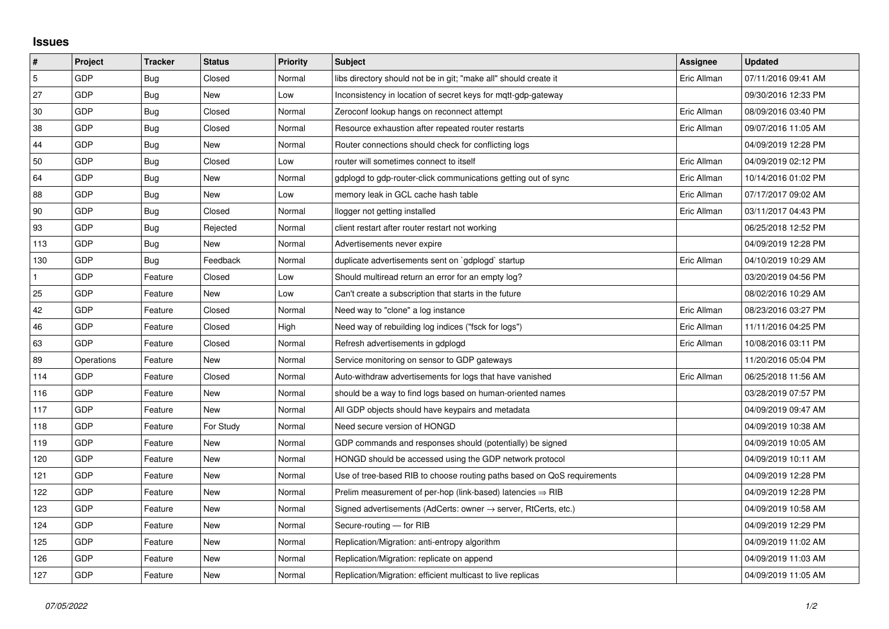## **Issues**

| $\vert$ #      | Project    | <b>Tracker</b> | <b>Status</b> | <b>Priority</b> | <b>Subject</b>                                                             | <b>Assignee</b> | <b>Updated</b>      |
|----------------|------------|----------------|---------------|-----------------|----------------------------------------------------------------------------|-----------------|---------------------|
| $\overline{5}$ | GDP        | Bug            | Closed        | Normal          | libs directory should not be in git; "make all" should create it           | Eric Allman     | 07/11/2016 09:41 AM |
| 27             | GDP        | Bug            | New           | Low             | Inconsistency in location of secret keys for mott-gdp-gateway              |                 | 09/30/2016 12:33 PM |
| 30             | GDP        | Bug            | Closed        | Normal          | Zeroconf lookup hangs on reconnect attempt                                 | Eric Allman     | 08/09/2016 03:40 PM |
| 38             | GDP        | Bug            | Closed        | Normal          | Resource exhaustion after repeated router restarts                         | Eric Allman     | 09/07/2016 11:05 AM |
| 44             | GDP        | Bug            | New           | Normal          | Router connections should check for conflicting logs                       |                 | 04/09/2019 12:28 PM |
| 50             | GDP        | Bug            | Closed        | Low             | router will sometimes connect to itself                                    | Eric Allman     | 04/09/2019 02:12 PM |
| 64             | GDP        | Bug            | New           | Normal          | gdplogd to gdp-router-click communications getting out of sync             | Eric Allman     | 10/14/2016 01:02 PM |
| 88             | GDP        | Bug            | New           | Low             | memory leak in GCL cache hash table                                        | Eric Allman     | 07/17/2017 09:02 AM |
| 90             | GDP        | Bug            | Closed        | Normal          | llogger not getting installed                                              | Eric Allman     | 03/11/2017 04:43 PM |
| 93             | GDP        | Bug            | Rejected      | Normal          | client restart after router restart not working                            |                 | 06/25/2018 12:52 PM |
| 113            | GDP        | Bug            | New           | Normal          | Advertisements never expire                                                |                 | 04/09/2019 12:28 PM |
| 130            | GDP        | Bug            | Feedback      | Normal          | duplicate advertisements sent on `gdplogd` startup                         | Eric Allman     | 04/10/2019 10:29 AM |
| $\mathbf{1}$   | GDP        | Feature        | Closed        | Low             | Should multiread return an error for an empty log?                         |                 | 03/20/2019 04:56 PM |
| 25             | GDP        | Feature        | New           | Low             | Can't create a subscription that starts in the future                      |                 | 08/02/2016 10:29 AM |
| 42             | GDP        | Feature        | Closed        | Normal          | Need way to "clone" a log instance                                         | Eric Allman     | 08/23/2016 03:27 PM |
| 46             | GDP        | Feature        | Closed        | High            | Need way of rebuilding log indices ("fsck for logs")                       | Eric Allman     | 11/11/2016 04:25 PM |
| 63             | GDP        | Feature        | Closed        | Normal          | Refresh advertisements in gdplogd                                          | Eric Allman     | 10/08/2016 03:11 PM |
| 89             | Operations | Feature        | New           | Normal          | Service monitoring on sensor to GDP gateways                               |                 | 11/20/2016 05:04 PM |
| 114            | GDP        | Feature        | Closed        | Normal          | Auto-withdraw advertisements for logs that have vanished                   | Eric Allman     | 06/25/2018 11:56 AM |
| 116            | GDP        | Feature        | New           | Normal          | should be a way to find logs based on human-oriented names                 |                 | 03/28/2019 07:57 PM |
| 117            | GDP        | Feature        | New           | Normal          | All GDP objects should have keypairs and metadata                          |                 | 04/09/2019 09:47 AM |
| 118            | GDP        | Feature        | For Study     | Normal          | Need secure version of HONGD                                               |                 | 04/09/2019 10:38 AM |
| 119            | GDP        | Feature        | New           | Normal          | GDP commands and responses should (potentially) be signed                  |                 | 04/09/2019 10:05 AM |
| 120            | GDP        | Feature        | New           | Normal          | HONGD should be accessed using the GDP network protocol                    |                 | 04/09/2019 10:11 AM |
| 121            | GDP        | Feature        | New           | Normal          | Use of tree-based RIB to choose routing paths based on QoS requirements    |                 | 04/09/2019 12:28 PM |
| 122            | GDP        | Feature        | New           | Normal          | Prelim measurement of per-hop (link-based) latencies $\Rightarrow$ RIB     |                 | 04/09/2019 12:28 PM |
| 123            | GDP        | Feature        | New           | Normal          | Signed advertisements (AdCerts: owner $\rightarrow$ server, RtCerts, etc.) |                 | 04/09/2019 10:58 AM |
| 124            | GDP        | Feature        | New           | Normal          | Secure-routing - for RIB                                                   |                 | 04/09/2019 12:29 PM |
| 125            | GDP        | Feature        | New           | Normal          | Replication/Migration: anti-entropy algorithm                              |                 | 04/09/2019 11:02 AM |
| 126            | GDP        | Feature        | New           | Normal          | Replication/Migration: replicate on append                                 |                 | 04/09/2019 11:03 AM |
| 127            | GDP        | Feature        | New           | Normal          | Replication/Migration: efficient multicast to live replicas                |                 | 04/09/2019 11:05 AM |